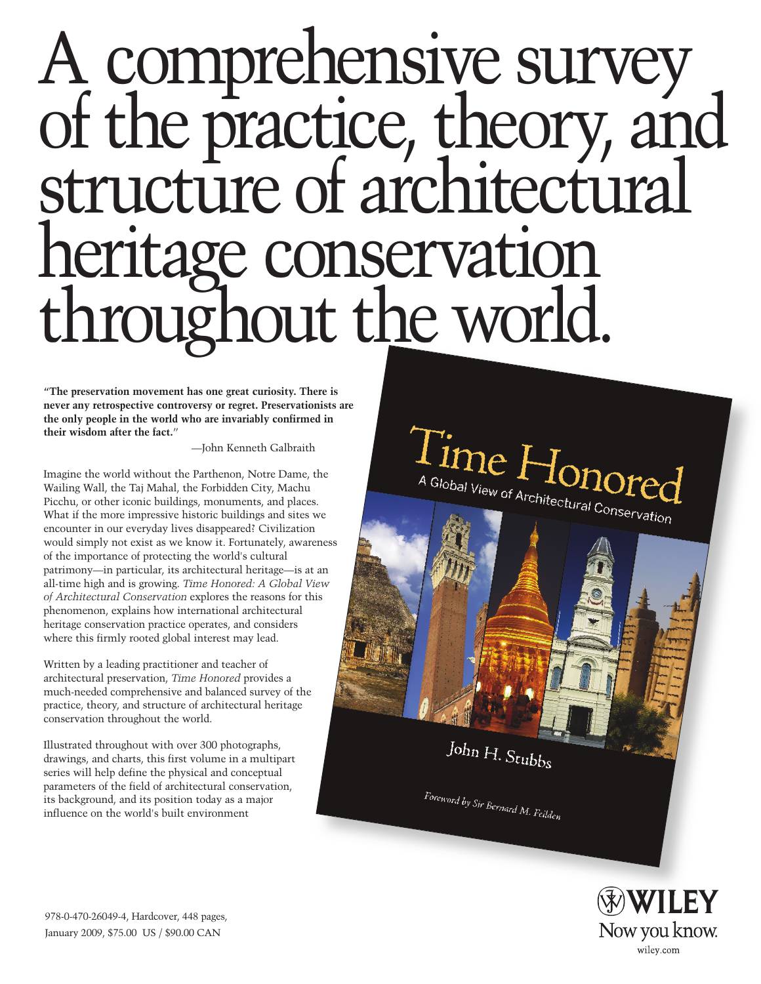# A comprehensive survey of the practice, theory, and structure of architectural heritage conservation rughout the world.

**"The preservation movement has one great curiosity. There is never any retrospective controversy or regret. Preservationists are the only people in the world who are invariably confirmed in their wisdom after the fact.**"

—John Kenneth Galbraith

Imagine the world without the Parthenon, Notre Dame, the Wailing Wall, the Taj Mahal, the Forbidden City, Machu Picchu, or other iconic buildings, monuments, and places. What if the more impressive historic buildings and sites we encounter in our everyday lives disappeared? Civilization would simply not exist as we know it. Fortunately, awareness of the importance of protecting the world's cultural patrimony—in particular, its architectural heritage—is at an all-time high and is growing. *Time Honored: A Global View of Architectural Conservation* explores the reasons for this phenomenon, explains how international architectural heritage conservation practice operates, and considers where this firmly rooted global interest may lead.

Written by a leading practitioner and teacher of architectural preservation, *Time Honored* provides a much-needed comprehensive and balanced survey of the practice, theory, and structure of architectural heritage conservation throughout the world.

Illustrated throughout with over 300 photographs, drawings, and charts, this first volume in a multipart series will help define the physical and conceptual parameters of the field of architectural conservation, its background, and its position today as a major influence on the world's built environment

 $\prod_{\mathcal{G}_{\mathsf{lobal}\, \mathsf{View}}}\prod_{\mathcal{G}_{\mathsf{Inv}}}\mathcal{G}_{\mathsf{Arch}(\mathsf{Gr})}$ A Global View of Architectural Conservation

John H. Stubbs

Foreword by Sir Bernard M. Feilden



978-0-470-26049-4, Hardcover, 448 pages, January 2009, \$75.00 US / \$90.00 CAN